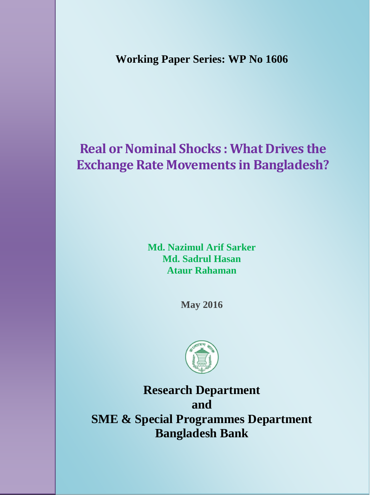**Working Paper Series: WP No 1606**

# **Real or Nominal Shocks : What Drives the Exchange Rate Movements in Bangladesh?**

**Md. Nazimul Arif Sarker Md. Sadrul Hasan Ataur Rahaman**

**May 2016**



**Research Department and SME & Special Programmes Department Bangladesh Bank**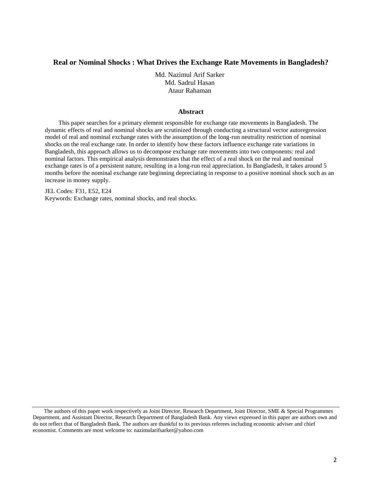# **Real or Nominal Shocks : What Drives the Exchange Rate Movements in Bangladesh?**

Md. Nazimul Arif Sarker Md. Sadrul Hasan Ataur Rahaman

#### **Abstract**

This paper searches for a primary element responsible for exchange rate movements in Bangladesh. The dynamic effects of real and nominal shocks are scrutinized through conducting a structural vector autoregression model of real and nominal exchange rates with the assumption of the long-run neutrality restriction of nominal shocks on the real exchange rate. In order to identify how these factors influence exchange rate variations in Bangladesh, this approach allows us to decompose exchange rate movements into two components: real and nominal factors. This empirical analysis demonstrates that the effect of a real shock on the real and nominal exchange rates is of a persistent nature, resulting in a long-run real appreciation. In Bangladesh, it takes around 5 months before the nominal exchange rate beginning depreciating in response to a positive nominal shock such as an increase in money supply.

JEL Codes: F31, E52, E24 Keywords: Exchange rates, nominal shocks, and real shocks.

The authors of this paper work respectively as Joint Director, Research Department, Joint Director, SME & Special Programmes Department, and Assistant Director, Research Department of Bangladesh Bank. Any views expressed in this paper are authors own and do not reflect that of Bangladesh Bank. The authors are thankful to its previous referees including economic adviser and chief economist. Comments are most welcome to: nazimularifsarker@yahoo.com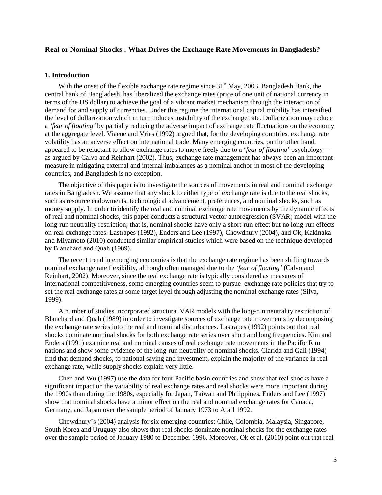# **Real or Nominal Shocks : What Drives the Exchange Rate Movements in Bangladesh?**

## **1. Introduction**

With the onset of the flexible exchange rate regime since  $31<sup>st</sup>$  May, 2003, Bangladesh Bank, the central bank of Bangladesh, has liberalized the exchange rates (price of one unit of national currency in terms of the US dollar) to achieve the goal of a vibrant market mechanism through the interaction of demand for and supply of currencies. Under this regime the international capital mobility has intensified the level of dollarization which in turn induces instability of the exchange rate. Dollarization may reduce a *'fear of floating'* by partially reducing the adverse impact of exchange rate fluctuations on the economy at the aggregate level. Viaene and Vries (1992) argued that, for the developing countries, exchange rate volatility has an adverse effect on international trade. Many emerging countries, on the other hand, appeared to be reluctant to allow exchange rates to move freely due to a "*fear of floating*" psychology as argued by Calvo and Reinhart (2002). Thus, exchange rate management has always been an important measure in mitigating external and internal imbalances as a nominal anchor in most of the developing countries, and Bangladesh is no exception.

The objective of this paper is to investigate the sources of movements in real and nominal exchange rates in Bangladesh. We assume that any shock to either type of exchange rate is due to the real shocks, such as resource endowments, technological advancement, preferences, and nominal shocks, such as money supply. In order to identify the real and nominal exchange rate movements by the dynamic effects of real and nominal shocks, this paper conducts a structural vector autoregression (SVAR) model with the long-run neutrality restriction; that is, nominal shocks have only a short-run effect but no long-run effects on real exchange rates. Lastrapes (1992), Enders and Lee (1997), Chowdhury (2004), and Ok, Kakinaka and Miyamoto (2010) conducted similar empirical studies which were based on the technique developed by Blanchard and Quah (1989).

The recent trend in emerging economies is that the exchange rate regime has been shifting towards nominal exchange rate flexibility, although often managed due to the *'fear of floating'* (Calvo and Reinhart, 2002). Moreover, since the real exchange rate is typically considered as measures of international competitiveness, some emerging countries seem to pursue exchange rate policies that try to set the real exchange rates at some target level through adjusting the nominal exchange rates (Silva, 1999).

A number of studies incorporated structural VAR models with the long-run neutrality restriction of Blanchard and Quah (1989) in order to investigate sources of exchange rate movements by decomposing the exchange rate series into the real and nominal disturbances. Lastrapes (1992) points out that real shocks dominate nominal shocks for both exchange rate series over short and long frequencies. Kim and Enders (1991) examine real and nominal causes of real exchange rate movements in the Pacific Rim nations and show some evidence of the long-run neutrality of nominal shocks. Clarida and Gali (1994) find that demand shocks, to national saving and investment, explain the majority of the variance in real exchange rate, while supply shocks explain very little.

Chen and Wu (1997) use the data for four Pacific basin countries and show that real shocks have a significant impact on the variability of real exchange rates and real shocks were more important during the 1990s than during the 1980s, especially for Japan, Taiwan and Philippines. Enders and Lee (1997) show that nominal shocks have a minor effect on the real and nominal exchange rates for Canada, Germany, and Japan over the sample period of January 1973 to April 1992.

Chowdhury"s (2004) analysis for six emerging countries: Chile, Colombia, Malaysia, Singapore, South Korea and Uruguay also shows that real shocks dominate nominal shocks for the exchange rates over the sample period of January 1980 to December 1996. Moreover, Ok et al. (2010) point out that real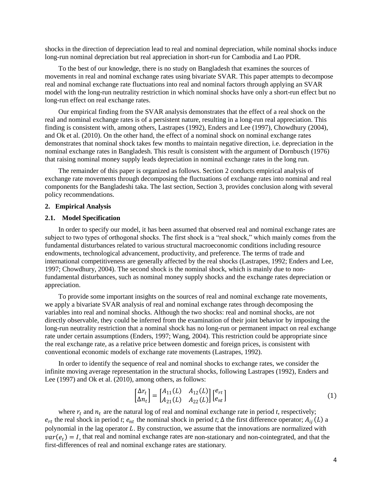shocks in the direction of depreciation lead to real and nominal depreciation, while nominal shocks induce long-run nominal depreciation but real appreciation in short-run for Cambodia and Lao PDR.

To the best of our knowledge, there is no study on Bangladesh that examines the sources of movements in real and nominal exchange rates using bivariate SVAR. This paper attempts to decompose real and nominal exchange rate fluctuations into real and nominal factors through applying an SVAR model with the long-run neutrality restriction in which nominal shocks have only a short-run effect but no long-run effect on real exchange rates.

Our empirical finding from the SVAR analysis demonstrates that the effect of a real shock on the real and nominal exchange rates is of a persistent nature, resulting in a long-run real appreciation. This finding is consistent with, among others, Lastrapes (1992), Enders and Lee (1997), Chowdhury (2004), and Ok et al. (2010). On the other hand, the effect of a nominal shock on nominal exchange rates demonstrates that nominal shock takes few months to maintain negative direction, i.e. depreciation in the nominal exchange rates in Bangladesh. This result is consistent with the argument of Dornbusch (1976) that raising nominal money supply leads depreciation in nominal exchange rates in the long run.

The remainder of this paper is organized as follows. Section 2 conducts empirical analysis of exchange rate movements through decomposing the fluctuations of exchange rates into nominal and real components for the Bangladeshi taka. The last section, Section 3, provides conclusion along with several policy recommendations.

## **2. Empirical Analysis**

## **2.1. Model Specification**

In order to specify our model, it has been assumed that observed real and nominal exchange rates are subject to two types of orthogonal shocks. The first shock is a "real shock," which mainly comes from the fundamental disturbances related to various structural macroeconomic conditions including resource endowments, technological advancement, productivity, and preference. The terms of trade and international competitiveness are generally affected by the real shocks (Lastrapes, 1992; Enders and Lee, 1997; Chowdhury, 2004). The second shock is the nominal shock, which is mainly due to nonfundamental disturbances, such as nominal money supply shocks and the exchange rates depreciation or appreciation.

To provide some important insights on the sources of real and nominal exchange rate movements, we apply a bivariate SVAR analysis of real and nominal exchange rates through decomposing the variables into real and nominal shocks. Although the two shocks: real and nominal shocks, are not directly observable, they could be inferred from the examination of their joint behavior by imposing the long-run neutrality restriction that a nominal shock has no long-run or permanent impact on real exchange rate under certain assumptions (Enders, 1997; Wang, 2004). This restriction could be appropriate since the real exchange rate, as a relative price between domestic and foreign prices, is consistent with conventional economic models of exchange rate movements (Lastrapes, 1992).

In order to identify the sequence of real and nominal shocks to exchange rates, we consider the infinite moving average representation in the structural shocks, following Lastrapes (1992), Enders and Lee (1997) and Ok et al. (2010), among others, as follows:

I

$$
\begin{aligned}\n\Delta r_t \\
\Delta n_t\n\end{aligned}\n=\n\begin{bmatrix}\nA_{11}(L) & A_{12}(L) \\
A_{21}(L) & A_{22}(L)\n\end{bmatrix}\n\begin{bmatrix}\ne_{rt} \\
e_{nt}\n\end{bmatrix}
$$
\n(1)

where  $r_t$  and  $n_t$  are the natural log of real and nominal exchange rate in period *t*, respectively;  $e_{rt}$  the real shock in period *t*;  $e_{nt}$  the nominal shock in period *t*;  $\Delta$  the first difference operator;  $A_{ij}(L)$  a polynomial in the lag operator  $L$ . By construction, we assume that the innovations are normalized with  $var(e_t) = I$ , that real and nominal exchange rates are non-stationary and non-cointegrated, and that the first-differences of real and nominal exchange rates are stationary.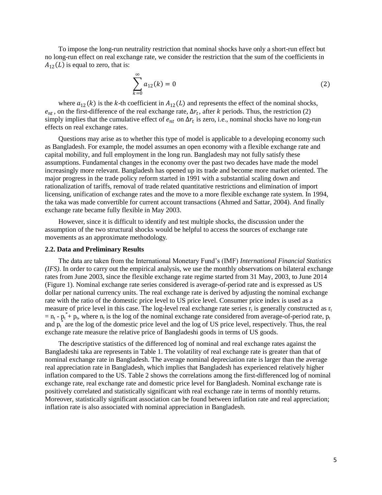To impose the long-run neutrality restriction that nominal shocks have only a short-run effect but no long-run effect on real exchange rate, we consider the restriction that the sum of the coefficients in  $A_{12}(L)$  is equal to zero, that is:

$$
\sum_{k=0}^{\infty} a_{12}(k) = 0
$$
 (2)

where  $a_{12}(k)$  is the k-th coefficient in  $A_{12}(L)$  and represents the effect of the nominal shocks,  $e_{nt}$ , on the first-difference of the real exchange rate,  $\Delta r_t$ , after k periods. Thus, the restriction (2) simply implies that the cumulative effect of  $e_{nt}$  on  $\Delta r_t$  is zero, i.e., nominal shocks have no long-run effects on real exchange rates.

Questions may arise as to whether this type of model is applicable to a developing economy such as Bangladesh. For example, the model assumes an open economy with a flexible exchange rate and capital mobility, and full employment in the long run. Bangladesh may not fully satisfy these assumptions. Fundamental changes in the economy over the past two decades have made the model increasingly more relevant. Bangladesh has opened up its trade and become more market oriented. The major progress in the trade policy reform started in 1991 with a substantial scaling down and rationalization of tariffs, removal of trade related quantitative restrictions and elimination of import licensing, unification of exchange rates and the move to a more flexible exchange rate system. In 1994, the taka was made convertible for current account transactions (Ahmed and Sattar, 2004). And finally exchange rate became fully flexible in May 2003.

However, since it is difficult to identify and test multiple shocks, the discussion under the assumption of the two structural shocks would be helpful to access the sources of exchange rate movements as an approximate methodology.

## **2.2. Data and Preliminary Results**

The data are taken from the International Monetary Fund"s (IMF) *International Financial Statistics (IFS)*. In order to carry out the empirical analysis, we use the monthly observations on bilateral exchange rates from June 2003, since the flexible exchange rate regime started from 31 May, 2003, to June 2014 (Figure 1). Nominal exchange rate series considered is average-of-period rate and is expressed as US dollar per national currency units. The real exchange rate is derived by adjusting the nominal exchange rate with the ratio of the domestic price level to US price level. Consumer price index is used as a measure of price level in this case. The log-level real exchange rate series  $r_t$  is generally constructed as  $r_t$  $=$  n<sub>t</sub> - p<sub>t</sub><sup>\*</sup>+ p<sub>t</sub>, where n<sub>t</sub> is the log of the nominal exchange rate considered from average-of-period rate, p<sub>t</sub> and  $p_t^*$  are the log of the domestic price level and the log of US price level, respectively. Thus, the real exchange rate measure the relative price of Bangladeshi goods in terms of US goods.

The descriptive statistics of the differenced log of nominal and real exchange rates against the Bangladeshi taka are represents in Table 1. The volatility of real exchange rate is greater than that of nominal exchange rate in Bangladesh. The average nominal depreciation rate is larger than the average real appreciation rate in Bangladesh, which implies that Bangladesh has experienced relatively higher inflation compared to the US. Table 2 shows the correlations among the first-differenced log of nominal exchange rate, real exchange rate and domestic price level for Bangladesh. Nominal exchange rate is positively correlated and statistically significant with real exchange rate in terms of monthly returns. Moreover, statistically significant association can be found between inflation rate and real appreciation; inflation rate is also associated with nominal appreciation in Bangladesh.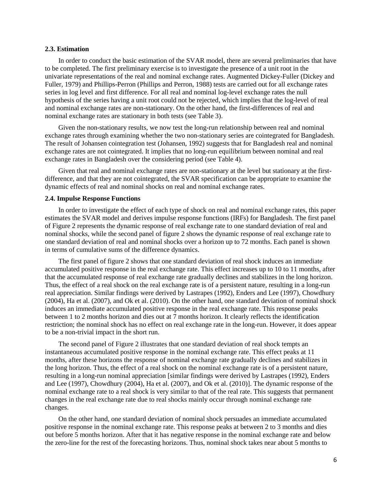## **2.3. Estimation**

In order to conduct the basic estimation of the SVAR model, there are several preliminaries that have to be completed. The first preliminary exercise is to investigate the presence of a unit root in the univariate representations of the real and nominal exchange rates. Augmented Dickey-Fuller (Dickey and Fuller, 1979) and Phillips-Perron (Phillips and Perron, 1988) tests are carried out for all exchange rates series in log level and first difference. For all real and nominal log-level exchange rates the null hypothesis of the series having a unit root could not be rejected, which implies that the log-level of real and nominal exchange rates are non-stationary. On the other hand, the first-differences of real and nominal exchange rates are stationary in both tests (see Table 3).

Given the non-stationary results, we now test the long-run relationship between real and nominal exchange rates through examining whether the two non-stationary series are cointegrated for Bangladesh. The result of Johansen cointegration test (Johansen, 1992) suggests that for Bangladesh real and nominal exchange rates are not cointegrated. It implies that no long-run equilibrium between nominal and real exchange rates in Bangladesh over the considering period (see Table 4).

Given that real and nominal exchange rates are non-stationary at the level but stationary at the firstdifference, and that they are not cointegrated, the SVAR specification can be appropriate to examine the dynamic effects of real and nominal shocks on real and nominal exchange rates.

## **2.4. Impulse Response Functions**

In order to investigate the effect of each type of shock on real and nominal exchange rates, this paper estimates the SVAR model and derives impulse response functions (IRFs) for Bangladesh. The first panel of Figure 2 represents the dynamic response of real exchange rate to one standard deviation of real and nominal shocks, while the second panel of figure 2 shows the dynamic response of real exchange rate to one standard deviation of real and nominal shocks over a horizon up to 72 months. Each panel is shown in terms of cumulative sums of the difference dynamics.

The first panel of figure 2 shows that one standard deviation of real shock induces an immediate accumulated positive response in the real exchange rate. This effect increases up to 10 to 11 months, after that the accumulated response of real exchange rate gradually declines and stabilizes in the long horizon. Thus, the effect of a real shock on the real exchange rate is of a persistent nature, resulting in a long-run real appreciation. Similar findings were derived by Lastrapes (1992), Enders and Lee (1997), Chowdhury (2004), Ha et al. (2007), and Ok et al. (2010). On the other hand, one standard deviation of nominal shock induces an immediate accumulated positive response in the real exchange rate. This response peaks between 1 to 2 months horizon and dies out at 7 months horizon. It clearly reflects the identification restriction; the nominal shock has no effect on real exchange rate in the long-run. However, it does appear to be a non-trivial impact in the short run.

The second panel of Figure 2 illustrates that one standard deviation of real shock tempts an instantaneous accumulated positive response in the nominal exchange rate. This effect peaks at 11 months, after these horizons the response of nominal exchange rate gradually declines and stabilizes in the long horizon. Thus, the effect of a real shock on the nominal exchange rate is of a persistent nature, resulting in a long-run nominal appreciation [similar findings were derived by Lastrapes (1992), Enders and Lee (1997), Chowdhury (2004), Ha et al. (2007), and Ok et al. (2010)]. The dynamic response of the nominal exchange rate to a real shock is very similar to that of the real rate. This suggests that permanent changes in the real exchange rate due to real shocks mainly occur through nominal exchange rate changes.

On the other hand, one standard deviation of nominal shock persuades an immediate accumulated positive response in the nominal exchange rate. This response peaks at between 2 to 3 months and dies out before 5 months horizon. After that it has negative response in the nominal exchange rate and below the zero-line for the rest of the forecasting horizons. Thus, nominal shock takes near about 5 months to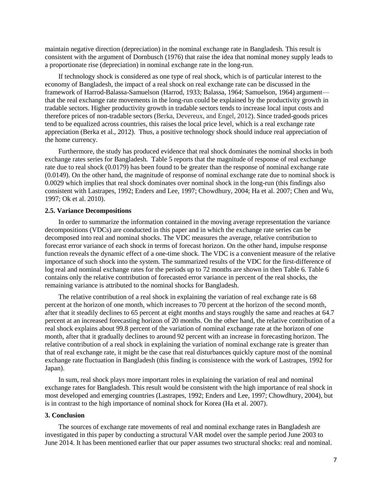maintain negative direction (depreciation) in the nominal exchange rate in Bangladesh. This result is consistent with the argument of Dornbusch (1976) that raise the idea that nominal money supply leads to a proportionate rise (depreciation) in nominal exchange rate in the long-run.

If technology shock is considered as one type of real shock, which is of particular interest to the economy of Bangladesh, the impact of a real shock on real exchange rate can be discussed in the framework of Harrod-Balassa-Samuelson (Harrod, 1933; Balassa, 1964; Samuelson, 1964) argument that the real exchange rate movements in the long-run could be explained by the productivity growth in tradable sectors. Higher productivity growth in tradable sectors tends to increase local input costs and therefore prices of non-tradable sectors (Berka, Devereux, and Engel, 2012). Since traded-goods prices tend to be equalized across countries, this raises the local price level, which is a real exchange rate appreciation (Berka et al., 2012). Thus, a positive technology shock should induce real appreciation of the home currency.

Furthermore, the study has produced evidence that real shock dominates the nominal shocks in both exchange rates series for Bangladesh. Table 5 reports that the magnitude of response of real exchange rate due to real shock (0.0179) has been found to be greater than the response of nominal exchange rate (0.0149). On the other hand, the magnitude of response of nominal exchange rate due to nominal shock is 0.0029 which implies that real shock dominates over nominal shock in the long-run (this findings also consistent with Lastrapes, 1992; Enders and Lee, 1997; Chowdhury, 2004; Ha et al. 2007; Chen and Wu, 1997; Ok et al. 2010).

#### **2.5. Variance Decompositions**

In order to summarize the information contained in the moving average representation the variance decompositions (VDCs) are conducted in this paper and in which the exchange rate series can be decomposed into real and nominal shocks. The VDC measures the average, relative contribution to forecast error variance of each shock in terms of forecast horizon. On the other hand, impulse response function reveals the dynamic effect of a one-time shock. The VDC is a convenient measure of the relative importance of such shock into the system. The summarized results of the VDC for the first-difference of log real and nominal exchange rates for the periods up to 72 months are shown in then Table 6. Table 6 contains only the relative contribution of forecasted error variance in percent of the real shocks, the remaining variance is attributed to the nominal shocks for Bangladesh.

The relative contribution of a real shock in explaining the variation of real exchange rate is 68 percent at the horizon of one month, which increases to 70 percent at the horizon of the second month, after that it steadily declines to 65 percent at eight months and stays roughly the same and reaches at 64.7 percent at an increased forecasting horizon of 20 months. On the other hand, the relative contribution of a real shock explains about 99.8 percent of the variation of nominal exchange rate at the horizon of one month, after that it gradually declines to around 92 percent with an increase in forecasting horizon. The relative contribution of a real shock in explaining the variation of nominal exchange rate is greater than that of real exchange rate, it might be the case that real disturbances quickly capture most of the nominal exchange rate fluctuation in Bangladesh (this finding is consistence with the work of Lastrapes, 1992 for Japan).

In sum, real shock plays more important roles in explaining the variation of real and nominal exchange rates for Bangladesh. This result would be consistent with the high importance of real shock in most developed and emerging countries (Lastrapes, 1992; Enders and Lee, 1997; Chowdhury, 2004), but is in contrast to the high importance of nominal shock for Korea (Ha et al. 2007).

## **3. Conclusion**

The sources of exchange rate movements of real and nominal exchange rates in Bangladesh are investigated in this paper by conducting a structural VAR model over the sample period June 2003 to June 2014. It has been mentioned earlier that our paper assumes two structural shocks: real and nominal.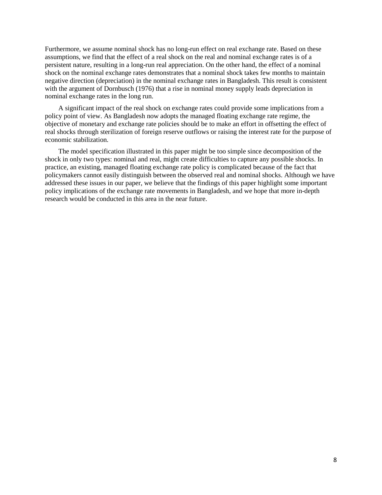Furthermore, we assume nominal shock has no long-run effect on real exchange rate. Based on these assumptions, we find that the effect of a real shock on the real and nominal exchange rates is of a persistent nature, resulting in a long-run real appreciation. On the other hand, the effect of a nominal shock on the nominal exchange rates demonstrates that a nominal shock takes few months to maintain negative direction (depreciation) in the nominal exchange rates in Bangladesh. This result is consistent with the argument of Dornbusch (1976) that a rise in nominal money supply leads depreciation in nominal exchange rates in the long run.

A significant impact of the real shock on exchange rates could provide some implications from a policy point of view. As Bangladesh now adopts the managed floating exchange rate regime, the objective of monetary and exchange rate policies should be to make an effort in offsetting the effect of real shocks through sterilization of foreign reserve outflows or raising the interest rate for the purpose of economic stabilization.

The model specification illustrated in this paper might be too simple since decomposition of the shock in only two types: nominal and real, might create difficulties to capture any possible shocks. In practice, an existing, managed floating exchange rate policy is complicated because of the fact that policymakers cannot easily distinguish between the observed real and nominal shocks. Although we have addressed these issues in our paper, we believe that the findings of this paper highlight some important policy implications of the exchange rate movements in Bangladesh, and we hope that more in-depth research would be conducted in this area in the near future.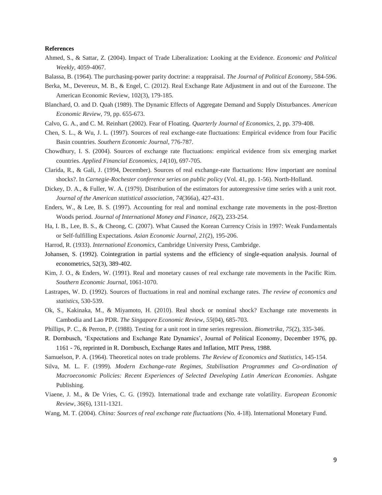#### **References**

- Ahmed, S., & Sattar, Z. (2004). Impact of Trade Liberalization: Looking at the Evidence. *Economic and Political Weekly,* 4059-4067.
- Balassa, B. (1964). The purchasing-power parity doctrine: a reappraisal. *The Journal of Political Economy*, 584-596.
- Berka, M., Devereux, M. B., & Engel, C. (2012). Real Exchange Rate Adjustment in and out of the Eurozone. The American Economic Review, 102(3), 179-185.
- Blanchard, O. and D. Quah (1989). The Dynamic Effects of Aggregate Demand and Supply Disturbances. *American Economic Review*, 79, pp. 655-673.
- Calvo, G. A., and C. M. Reinhart (2002). Fear of Floating. *Quarterly Journal of Economics*, 2, pp. 379-408.
- Chen, S. L., & Wu, J. L. (1997). Sources of real exchange-rate fluctuations: Empirical evidence from four Pacific Basin countries. *Southern Economic Journal*, 776-787.
- Chowdhury, I. S. (2004). Sources of exchange rate fluctuations: empirical evidence from six emerging market countries. *Applied Financial Economics*, *14*(10), 697-705.
- Clarida, R., & Gali, J. (1994, December). Sources of real exchange-rate fluctuations: How important are nominal shocks?. In *Carnegie-Rochester conference series on public policy* (Vol. 41, pp. 1-56). North-Holland.
- Dickey, D. A., & Fuller, W. A. (1979). Distribution of the estimators for autoregressive time series with a unit root. *Journal of the American statistical association*, *74*(366a), 427-431.
- Enders, W., & Lee, B. S. (1997). Accounting for real and nominal exchange rate movements in the post-Bretton Woods period. *Journal of International Money and Finance*, *16*(2), 233-254.
- Ha, I. B., Lee, B. S., & Cheong, C. (2007). What Caused the Korean Currency Crisis in 1997: Weak Fundamentals or Self‐fulfilling Expectations. *Asian Economic Journal*, *21*(2), 195-206.
- Harrod, R. (1933). *International Economics*, Cambridge University Press, Cambridge.
- Johansen, S. (1992). Cointegration in partial systems and the efficiency of single-equation analysis. Journal of econometrics, 52(3), 389-402.
- Kim, J. O., & Enders, W. (1991). Real and monetary causes of real exchange rate movements in the Pacific Rim. *Southern Economic Journal*, 1061-1070.
- Lastrapes, W. D. (1992). Sources of fluctuations in real and nominal exchange rates. *The review of economics and statistics*, 530-539.
- Ok, S., Kakinaka, M., & Miyamoto, H. (2010). Real shock or nominal shock? Exchange rate movements in Cambodia and Lao PDR. *The Singapore Economic Review*, *55*(04), 685-703.
- Phillips, P. C., & Perron, P. (1988). Testing for a unit root in time series regression. *Biometrika*, *75*(2), 335-346.
- R. Dornbusch, "Expectations and Exchange Rate Dynamics", Journal of Political Economy, December 1976, pp. 1161 - 76, reprinted in R. Dornbusch, Exchange Rates and Inflation, MIT Press, 1988.
- Samuelson, P. A. (1964). Theoretical notes on trade problems. *The Review of Economics and Statistics*, 145-154.
- Silva, M. L. F. (1999). *Modern Exchange-rate Regimes, Stabilisation Programmes and Co-ordination of Macroeconomic Policies: Recent Experiences of Selected Developing Latin American Economies*. Ashgate Publishing.
- Viaene, J. M., & De Vries, C. G. (1992). International trade and exchange rate volatility. *European Economic Review*, *36*(6), 1311-1321.
- Wang, M. T. (2004). *China: Sources of real exchange rate fluctuations* (No. 4-18). International Monetary Fund.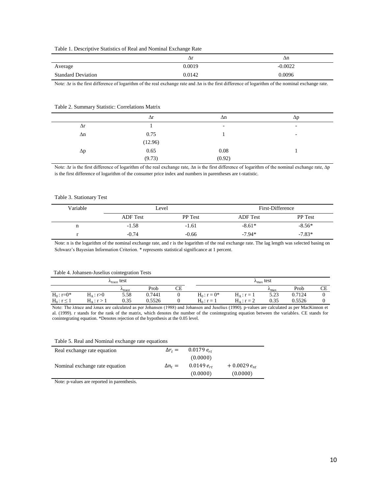| Table 1. Descriptive Statistics of Real and Nominal Exchange Rate |  |  |  |
|-------------------------------------------------------------------|--|--|--|
|                                                                   |  |  |  |

|                           | Δ1     | Δn        |
|---------------------------|--------|-----------|
| Average                   | 0.0019 | $-0.0022$ |
| <b>Standard Deviation</b> | 0.0142 | 0.0096    |

Note: ∆r is the first difference of logarithm of the real exchange rate and ∆n is the first difference of logarithm of the nominal exchange rate.

#### Table 2. Summary Statistic: Correlations Matrix

|            | $\Delta r$        | Δn                       | $\Delta p$ |
|------------|-------------------|--------------------------|------------|
| $\Delta r$ |                   | $\overline{\phantom{0}}$ | -          |
| $\Delta n$ | 0.75              |                          | ۰          |
|            | $(12.96)$<br>0.65 |                          |            |
| $\Delta p$ |                   | 0.08                     |            |
|            | (9.73)            | (0.92)                   |            |

Note: ∆r is the first difference of logarithm of the real exchange rate, ∆n is the first difference of logarithm of the nominal exchange rate, ∆p is the first difference of logarithm of the consumer price index and numbers in parentheses are t-statistic.

#### Table 3. Stationary Test

| Variable | Level           |                | First-Difference |                |
|----------|-----------------|----------------|------------------|----------------|
|          | <b>ADF</b> Test | <b>PP</b> Test | <b>ADF</b> Test  | <b>PP</b> Test |
| n        | $-1.58$         | $-1.61$        | $-8.61*$         | $-8.56*$       |
|          | $-0.74$         | $-0.66$        | $-7.94*$         | $-7.83*$       |

Note: n is the logarithm of the nominal exchange rate, and r is the logarithm of the real exchange rate. The lag length was selected basing on Schwarz's Bayesian Information Criterion. \* represents statistical significance at 1 percent.

#### Table 4. Johansen-Juselius cointegration Tests

| $\lambda_{\text{trace}}$ test |                     |                    |        |    | $\lambda_{\text{max}}$ test |                 |               |        |    |
|-------------------------------|---------------------|--------------------|--------|----|-----------------------------|-----------------|---------------|--------|----|
|                               |                     | $r_{\text{trace}}$ | Prob   | СE |                             |                 | $r_{\rm max}$ | Prob   | СE |
| $H_0: r = 0^*$                | $H_A: r > 0$        | 5.58               | 0.7441 | O  | $H_0: r = 0^*$              | $H_A$ : $r = 1$ | 5.23          | 0.7124 |    |
| $H_0: r \leq 1$               | $H_{\Delta}: r > 1$ | 0.35               | 0.5526 | v  | $H_0: r = 1$                | $H_0$ : $r = 2$ | 0.35          | 0.5526 |    |

Note: The λtrace and λmax are calculated as per Johansen (1988) and Johansen and Juselius (1990). p-values are calculated as per MacKinnon et al. (1999). r stands for the rank of the matrix, which denotes the number of the conintegrating equation between the variables. CE stands for conintegrating equation. \*Denotes rejection of the hypothesis at the 0.05 level.

Table 5. Real and Nominal exchange rate equations

| Real exchange rate equation    | $\Delta r_t =$ | $0.0179 e_{rt}$ |                  |
|--------------------------------|----------------|-----------------|------------------|
|                                |                | (0.0000)        |                  |
| Nominal exchange rate equation | $\Delta n_t =$ | $0.0149 e_{rt}$ | $+0.0029 e_{nt}$ |
|                                |                | (0.0000)        | (0.0000)         |

Note: p-values are reported in parenthesis.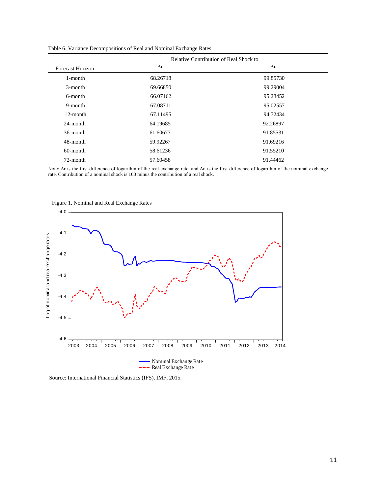|                         | Relative Contribution of Real Shock to |            |  |
|-------------------------|----------------------------------------|------------|--|
| <b>Forecast Horizon</b> | $\Delta r$                             | $\Delta n$ |  |
| 1-month                 | 68.26718                               | 99.85730   |  |
| $3$ -month              | 69.66850                               | 99.29004   |  |
| 6-month                 | 66.07162                               | 95.28452   |  |
| 9-month                 | 67.08711                               | 95.02557   |  |
| 12-month                | 67.11495                               | 94.72434   |  |
| 24-month                | 64.19685                               | 92.26897   |  |
| 36-month                | 61.60677                               | 91.85531   |  |
| 48-month                | 59.92267                               | 91.69216   |  |
| $60$ -month             | 58.61236                               | 91.55210   |  |
| 72-month                | 57.60458                               | 91.44462   |  |

Table 6. Variance Decompositions of Real and Nominal Exchange Rates

Note: ∆r is the first difference of logarithm of the real exchange rate, and ∆n is the first difference of logarithm of the nominal exchange rate. Contribution of a nominal shock is 100 minus the contribution of a real shock.



Figure 1. Nominal and Real Exchange Rates

Source: International Financial Statistics (IFS), IMF, 2015.